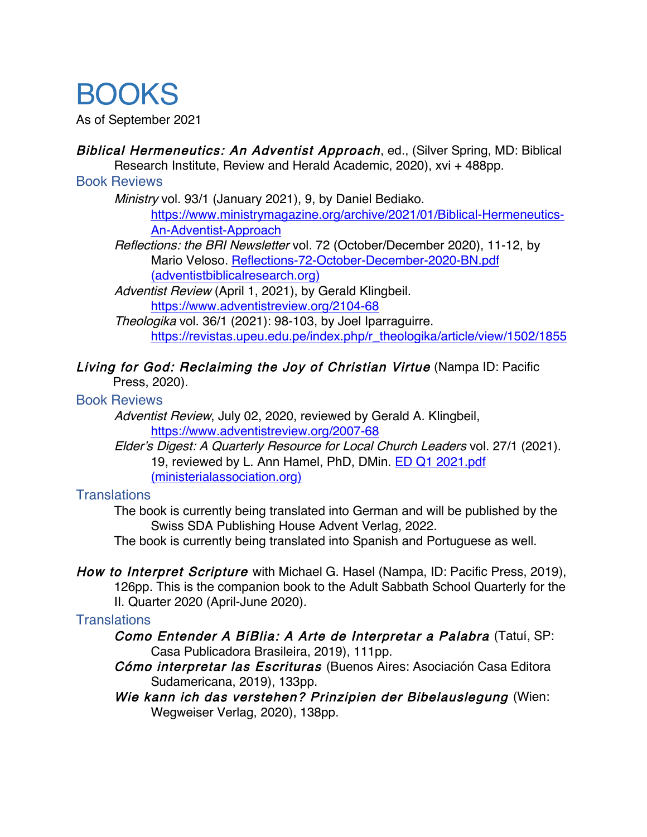# BOOKS

As of September 2021

Biblical Hermeneutics: An Adventist Approach, ed., (Silver Spring, MD: Biblical Research Institute, Review and Herald Academic, 2020), xvi + 488pp.

#### Book Reviews

Ministry vol. 93/1 (January 2021), 9, by Daniel Bediako.

https://www.ministrymagazine.org/archive/2021/01/Biblical-Hermeneutics-An-Adventist-Approach

Reflections: the BRI Newsletter vol. 72 (October/December 2020), 11-12, by Mario Veloso. Reflections-72-October-December-2020-BN.pdf (adventistbiblicalresearch.org)

Adventist Review (April 1, 2021), by Gerald Klingbeil. https://www.adventistreview.org/2104-68

Theologika vol. 36/1 (2021): 98-103, by Joel Iparraguirre. https://revistas.upeu.edu.pe/index.php/r\_theologika/article/view/1502/1855

# Living for God: Reclaiming the Joy of Christian Virtue (Nampa ID: Pacific

Press, 2020).

### Book Reviews

Adventist Review, July 02, 2020, reviewed by Gerald A. Klingbeil, https://www.adventistreview.org/2007-68

Elder's Digest: A Quarterly Resource for Local Church Leaders vol. 27/1 (2021). 19, reviewed by L. Ann Hamel, PhD, DMin. ED Q1 2021.pdf (ministerialassociation.org)

# **Translations**

The book is currently being translated into German and will be published by the Swiss SDA Publishing House Advent Verlag, 2022.

The book is currently being translated into Spanish and Portuguese as well.

How to Interpret Scripture with Michael G. Hasel (Nampa, ID: Pacific Press, 2019), 126pp. This is the companion book to the Adult Sabbath School Quarterly for the II. Quarter 2020 (April-June 2020).

# **Translations**

Como Entender A BíBlia: A Arte de Interpretar a Palabra (Tatuí, SP: Casa Publicadora Brasileira, 2019), 111pp.

Cómo interpretar las Escrituras (Buenos Aires: Asociación Casa Editora Sudamericana, 2019), 133pp.

Wie kann ich das verstehen? Prinzipien der Bibelauslegung (Wien: Wegweiser Verlag, 2020), 138pp.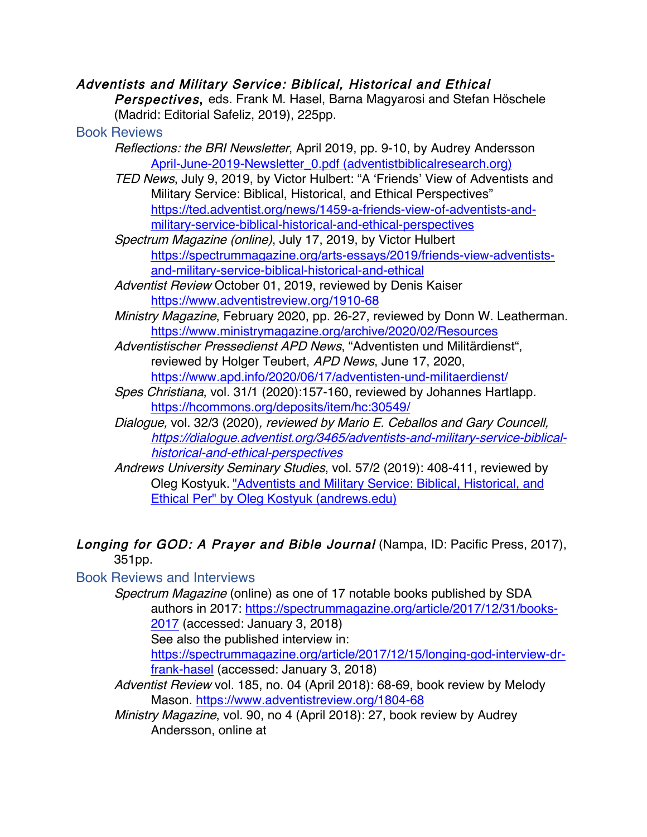## Adventists and Military Service: Biblical, Historical and Ethical

Perspectives, eds. Frank M. Hasel, Barna Magyarosi and Stefan Höschele (Madrid: Editorial Safeliz, 2019), 225pp.

#### Book Reviews

- Reflections: the BRI Newsletter, April 2019, pp. 9-10, by Audrey Andersson April-June-2019-Newsletter\_0.pdf (adventistbiblicalresearch.org)
- TED News, July 9, 2019, by Victor Hulbert: "A 'Friends' View of Adventists and Military Service: Biblical, Historical, and Ethical Perspectives" https://ted.adventist.org/news/1459-a-friends-view-of-adventists-andmilitary-service-biblical-historical-and-ethical-perspectives
- Spectrum Magazine (online), July 17, 2019, by Victor Hulbert https://spectrummagazine.org/arts-essays/2019/friends-view-adventistsand-military-service-biblical-historical-and-ethical
- Adventist Review October 01, 2019, reviewed by Denis Kaiser https://www.adventistreview.org/1910-68
- Ministry Magazine, February 2020, pp. 26-27, reviewed by Donn W. Leatherman. https://www.ministrymagazine.org/archive/2020/02/Resources
- Adventistischer Pressedienst APD News, "Adventisten und Militärdienst", reviewed by Holger Teubert, APD News, June 17, 2020, https://www.apd.info/2020/06/17/adventisten-und-militaerdienst/
- Spes Christiana, vol. 31/1 (2020):157-160, reviewed by Johannes Hartlapp. https://hcommons.org/deposits/item/hc:30549/
- Dialogue, vol. 32/3 (2020), reviewed by Mario E. Ceballos and Gary Councell, https://dialogue.adventist.org/3465/adventists-and-military-service-biblicalhistorical-and-ethical-perspectives
- Andrews University Seminary Studies, vol. 57/2 (2019): 408-411, reviewed by Oleg Kostyuk. "Adventists and Military Service: Biblical, Historical, and Ethical Per" by Oleg Kostyuk (andrews.edu)

#### Longing for GOD: A Prayer and Bible Journal (Nampa, ID: Pacific Press, 2017), 351pp.

# Book Reviews and Interviews

Spectrum Magazine (online) as one of 17 notable books published by SDA authors in 2017: https://spectrummagazine.org/article/2017/12/31/books-2017 (accessed: January 3, 2018)

See also the published interview in:

https://spectrummagazine.org/article/2017/12/15/longing-god-interview-drfrank-hasel (accessed: January 3, 2018)

Adventist Review vol. 185, no. 04 (April 2018): 68-69, book review by Melody Mason. https://www.adventistreview.org/1804-68

Ministry Magazine, vol. 90, no 4 (April 2018): 27, book review by Audrey Andersson, online at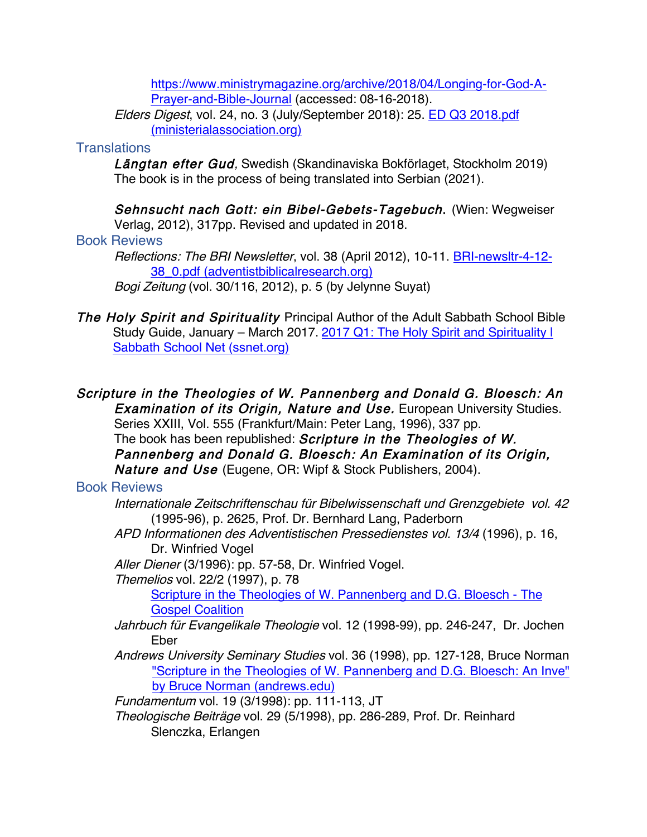https://www.ministrymagazine.org/archive/2018/04/Longing-for-God-A-Prayer-and-Bible-Journal (accessed: 08-16-2018).

Elders Digest, vol. 24, no. 3 (July/September 2018): 25. ED Q3 2018.pdf (ministerialassociation.org)

## **Translations**

Längtan efter Gud, Swedish (Skandinaviska Bokförlaget, Stockholm 2019) The book is in the process of being translated into Serbian (2021).

Sehnsucht nach Gott: ein Bibel-Gebets-Tagebuch. (Wien: Wegweiser Verlag, 2012), 317pp. Revised and updated in 2018. Book Reviews

Reflections: The BRI Newsletter, vol. 38 (April 2012), 10-11. BRI-newsltr-4-12- 38\_0.pdf (adventistbiblicalresearch.org) Bogi Zeitung (vol. 30/116, 2012), p. 5 (by Jelynne Suyat)

The Holy Spirit and Spirituality Principal Author of the Adult Sabbath School Bible Study Guide, January – March 2017. 2017 Q1: The Holy Spirit and Spirituality I Sabbath School Net (ssnet.org)

Scripture in the Theologies of W. Pannenberg and Donald G. Bloesch: An **Examination of its Origin, Nature and Use.** European University Studies. Series XXIII, Vol. 555 (Frankfurt/Main: Peter Lang, 1996), 337 pp. The book has been republished: Scripture in the Theologies of W. Pannenberg and Donald G. Bloesch: An Examination of its Origin, Nature and Use (Eugene, OR: Wipf & Stock Publishers, 2004).

# Book Reviews

- Internationale Zeitschriftenschau für Bibelwissenschaft und Grenzgebiete vol. 42 (1995-96), p. 2625, Prof. Dr. Bernhard Lang, Paderborn
- APD Informationen des Adventistischen Pressedienstes vol. 13/4 (1996), p. 16, Dr. Winfried Vogel

Aller Diener (3/1996): pp. 57-58, Dr. Winfried Vogel.

Themelios vol. 22/2 (1997), p. 78

Scripture in the Theologies of W. Pannenberg and D.G. Bloesch - The Gospel Coalition

- Jahrbuch für Evangelikale Theologie vol. 12 (1998-99), pp. 246-247, Dr. Jochen Eber
- Andrews University Seminary Studies vol. 36 (1998), pp. 127-128, Bruce Norman "Scripture in the Theologies of W. Pannenberg and D.G. Bloesch: An Inve" by Bruce Norman (andrews.edu)

Fundamentum vol. 19 (3/1998): pp. 111-113, JT

Theologische Beiträge vol. 29 (5/1998), pp. 286-289, Prof. Dr. Reinhard Slenczka, Erlangen